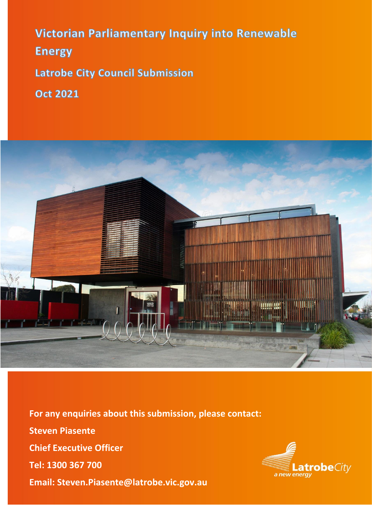Victorian Parliamentary Inquiry into Renewable **Energy Latrobe City Council Submission** 

**Oct 2021** 



**For any enquiries about this submission, please contact: Steven Piasente Chief Executive Officer Tel: 1300 367 700 Email: Steven.Piasente@latrobe.vic.gov.au**

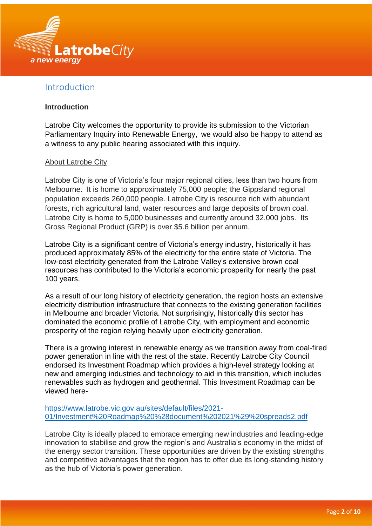

# Introduction

#### **Introduction**

Latrobe City welcomes the opportunity to provide its submission to the Victorian Parliamentary Inquiry into Renewable Energy, we would also be happy to attend as a witness to any public hearing associated with this inquiry.

#### About Latrobe City

Latrobe City is one of Victoria's four major regional cities, less than two hours from Melbourne. It is home to approximately 75,000 people; the Gippsland regional population exceeds 260,000 people. Latrobe City is resource rich with abundant forests, rich agricultural land, water resources and large deposits of brown coal. Latrobe City is home to 5,000 businesses and currently around 32,000 jobs. Its Gross Regional Product (GRP) is over \$5.6 billion per annum.

Latrobe City is a significant centre of Victoria's energy industry, historically it has produced approximately 85% of the electricity for the entire state of Victoria. The low-cost electricity generated from the Latrobe Valley's extensive brown coal resources has contributed to the Victoria's economic prosperity for nearly the past 100 years.

As a result of our long history of electricity generation, the region hosts an extensive electricity distribution infrastructure that connects to the existing generation facilities in Melbourne and broader Victoria. Not surprisingly, historically this sector has dominated the economic profile of Latrobe City, with employment and economic prosperity of the region relying heavily upon electricity generation.

There is a growing interest in renewable energy as we transition away from coal-fired power generation in line with the rest of the state. Recently Latrobe City Council endorsed its Investment Roadmap which provides a high-level strategy looking at new and emerging industries and technology to aid in this transition, which includes renewables such as hydrogen and geothermal. This Investment Roadmap can be viewed here-

[https://www.latrobe.vic.gov.au/sites/default/files/2021-](https://www.latrobe.vic.gov.au/sites/default/files/2021-01/Investment%20Roadmap%20%28document%202021%29%20spreads2.pdf) [01/Investment%20Roadmap%20%28document%202021%29%20spreads2.pdf](https://www.latrobe.vic.gov.au/sites/default/files/2021-01/Investment%20Roadmap%20%28document%202021%29%20spreads2.pdf)

Latrobe City is ideally placed to embrace emerging new industries and leading-edge innovation to stabilise and grow the region's and Australia's economy in the midst of the energy sector transition. These opportunities are driven by the existing strengths and competitive advantages that the region has to offer due its long-standing history as the hub of Victoria's power generation.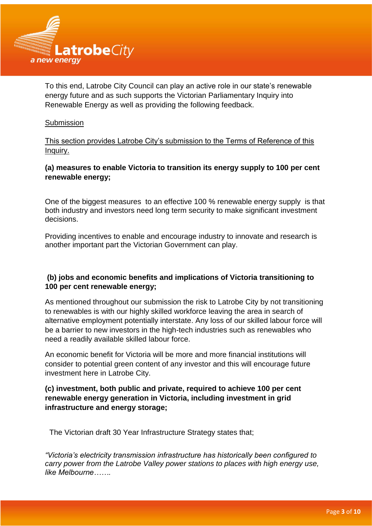

To this end, Latrobe City Council can play an active role in our state's renewable energy future and as such supports the Victorian Parliamentary Inquiry into Renewable Energy as well as providing the following feedback.

#### **Submission**

This section provides Latrobe City's submission to the Terms of Reference of this Inquiry.

# **(a) measures to enable Victoria to transition its energy supply to 100 per cent renewable energy;**

One of the biggest measures to an effective 100 % renewable energy supply is that both industry and investors need long term security to make significant investment decisions.

Providing incentives to enable and encourage industry to innovate and research is another important part the Victorian Government can play.

### **(b) jobs and economic benefits and implications of Victoria transitioning to 100 per cent renewable energy;**

As mentioned throughout our submission the risk to Latrobe City by not transitioning to renewables is with our highly skilled workforce leaving the area in search of alternative employment potentially interstate. Any loss of our skilled labour force will be a barrier to new investors in the high-tech industries such as renewables who need a readily available skilled labour force.

An economic benefit for Victoria will be more and more financial institutions will consider to potential green content of any investor and this will encourage future investment here in Latrobe City.

### **(c) investment, both public and private, required to achieve 100 per cent renewable energy generation in Victoria, including investment in grid infrastructure and energy storage;**

The Victorian draft 30 Year Infrastructure Strategy states that;

*"Victoria's electricity transmission infrastructure has historically been configured to carry power from the Latrobe Valley power stations to places with high energy use, like Melbourne…….*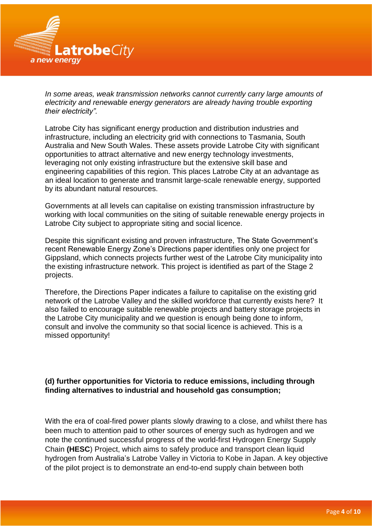

*In some areas, weak transmission networks cannot currently carry large amounts of electricity and renewable energy generators are already having trouble exporting their electricity".*

Latrobe City has significant energy production and distribution industries and infrastructure, including an electricity grid with connections to Tasmania, South Australia and New South Wales. These assets provide Latrobe City with significant opportunities to attract alternative and new energy technology investments, leveraging not only existing infrastructure but the extensive skill base and engineering capabilities of this region. This places Latrobe City at an advantage as an ideal location to generate and transmit large-scale renewable energy, supported by its abundant natural resources.

Governments at all levels can capitalise on existing transmission infrastructure by working with local communities on the siting of suitable renewable energy projects in Latrobe City subject to appropriate siting and social licence.

Despite this significant existing and proven infrastructure, The State Government's recent Renewable Energy Zone's Directions paper identifies only one project for Gippsland, which connects projects further west of the Latrobe City municipality into the existing infrastructure network. This project is identified as part of the Stage 2 projects.

Therefore, the Directions Paper indicates a failure to capitalise on the existing grid network of the Latrobe Valley and the skilled workforce that currently exists here? It also failed to encourage suitable renewable projects and battery storage projects in the Latrobe City municipality and we question is enough being done to inform, consult and involve the community so that social licence is achieved. This is a missed opportunity!

# **(d) further opportunities for Victoria to reduce emissions, including through finding alternatives to industrial and household gas consumption;**

With the era of coal-fired power plants slowly drawing to a close, and whilst there has been much to attention paid to other sources of energy such as hydrogen and we note the continued successful progress of the world-first Hydrogen Energy Supply Chain **(HESC**) Project, which aims to safely produce and transport clean liquid hydrogen from Australia's Latrobe Valley in Victoria to Kobe in Japan. A key objective of the pilot project is to demonstrate an end-to-end supply chain between both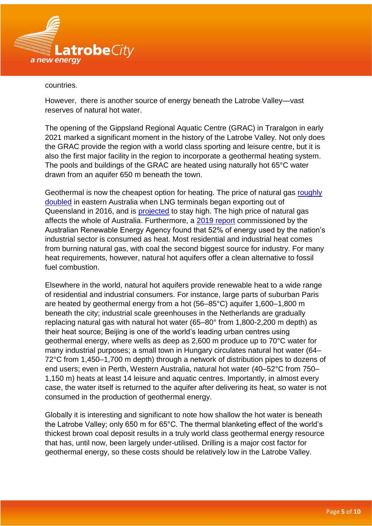

#### countries.

However, there is another source of energy beneath the Latrobe Valley—vast reserves of natural hot water.

The opening of the Gippsland Regional Aquatic Centre (GRAC) in Traralgon in early 2021 marked a significant moment in the history of the Latrobe Valley. Not only does the GRAC provide the region with a world class sporting and leisure centre, but it is also the first major facility in the region to incorporate a geothermal heating system. The pools and buildings of the GRAC are heated using naturally hot 65°C water drawn from an aquifer 650 m beneath the town.

Geothermal is now the cheapest option for heating. The price of natural gas [roughly](https://www.aer.gov.au/wholesale-markets/wholesale-statistics/sttm-quarterly-prices)  [doubled](https://www.aer.gov.au/wholesale-markets/wholesale-statistics/sttm-quarterly-prices) in eastern Australia when LNG terminals began exporting out of Queensland in 2016, and is [projected](https://www.accc.gov.au/regulated-infrastructure/energy/gas-inquiry-2017-2025/lng-netback-price-series) to stay high. The high price of natural gas affects the whole of Australia. Furthermore, a [2019 report](https://arena.gov.au/assets/2019/11/renewable-energy-options-for-industrial-process-heat.pdf) commissioned by the Australian Renewable Energy Agency found that 52% of energy used by the nation's industrial sector is consumed as heat. Most residential and industrial heat comes from burning natural gas, with coal the second biggest source for industry. For many heat requirements, however, natural hot aquifers offer a clean alternative to fossil fuel combustion.

Elsewhere in the world, natural hot aquifers provide renewable heat to a wide range of residential and industrial consumers. For instance, large parts of suburban Paris are heated by geothermal energy from a hot (56–85°C) aquifer 1,600–1,800 m beneath the city; industrial scale greenhouses in the Netherlands are gradually replacing natural gas with natural hot water (65–80° from 1,800-2,200 m depth) as their heat source; Beijing is one of the world's leading urban centres using geothermal energy, where wells as deep as 2,600 m produce up to 70°C water for many industrial purposes; a small town in Hungary circulates natural hot water (64– 72°C from 1,450–1,700 m depth) through a network of distribution pipes to dozens of end users; even in Perth, Western Australia, natural hot water (40–52°C from 750– 1,150 m) heats at least 14 leisure and aquatic centres. Importantly, in almost every case, the water itself is returned to the aquifer after delivering its heat, so water is not consumed in the production of geothermal energy.

Globally it is interesting and significant to note how shallow the hot water is beneath the Latrobe Valley; only 650 m for 65°C. The thermal blanketing effect of the world's thickest brown coal deposit results in a truly world class geothermal energy resource that has, until now, been largely under-utilised. Drilling is a major cost factor for geothermal energy, so these costs should be relatively low in the Latrobe Valley.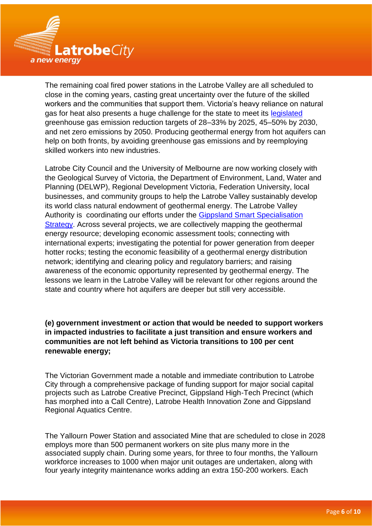

The remaining coal fired power stations in the Latrobe Valley are all scheduled to close in the coming years, casting great uncertainty over the future of the skilled workers and the communities that support them. Victoria's heavy reliance on natural gas for heat also presents a huge challenge for the state to meet its [legislated](https://www.climatechange.vic.gov.au/legislation/climate-change-act-2017) greenhouse gas emission reduction targets of 28–33% by 2025, 45–50% by 2030, and net zero emissions by 2050. Producing geothermal energy from hot aquifers can help on both fronts, by avoiding greenhouse gas emissions and by reemploying skilled workers into new industries.

Latrobe City Council and the University of Melbourne are now working closely with the Geological Survey of Victoria, the Department of Environment, Land, Water and Planning (DELWP), Regional Development Victoria, Federation University, local businesses, and community groups to help the Latrobe Valley sustainably develop its world class natural endowment of geothermal energy. The Latrobe Valley Authority is coordinating our efforts under the [Gippsland Smart Specialisation](https://lva.vic.gov.au/projects/gippslands-smart-specialisation-strategy)  [Strategy.](https://lva.vic.gov.au/projects/gippslands-smart-specialisation-strategy) Across several projects, we are collectively mapping the geothermal energy resource; developing economic assessment tools; connecting with international experts; investigating the potential for power generation from deeper hotter rocks; testing the economic feasibility of a geothermal energy distribution network; identifying and clearing policy and regulatory barriers; and raising awareness of the economic opportunity represented by geothermal energy. The lessons we learn in the Latrobe Valley will be relevant for other regions around the state and country where hot aquifers are deeper but still very accessible.

**(e) government investment or action that would be needed to support workers in impacted industries to facilitate a just transition and ensure workers and communities are not left behind as Victoria transitions to 100 per cent renewable energy;** 

The Victorian Government made a notable and immediate contribution to Latrobe City through a comprehensive package of funding support for major social capital projects such as Latrobe Creative Precinct, Gippsland High-Tech Precinct (which has morphed into a Call Centre), Latrobe Health Innovation Zone and Gippsland Regional Aquatics Centre.

The Yallourn Power Station and associated Mine that are scheduled to close in 2028 employs more than 500 permanent workers on site plus many more in the associated supply chain. During some years, for three to four months, the Yallourn workforce increases to 1000 when major unit outages are undertaken, along with four yearly integrity maintenance works adding an extra 150-200 workers. Each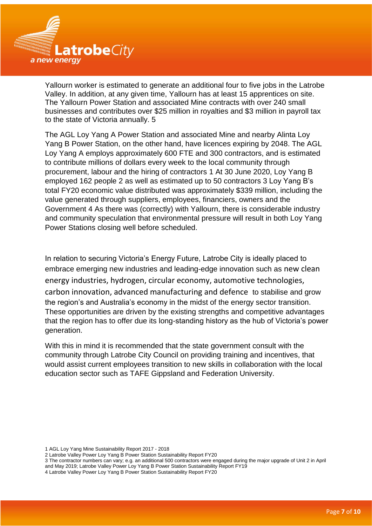

Yallourn worker is estimated to generate an additional four to five jobs in the Latrobe Valley. In addition, at any given time, Yallourn has at least 15 apprentices on site. The Yallourn Power Station and associated Mine contracts with over 240 small businesses and contributes over \$25 million in royalties and \$3 million in payroll tax to the state of Victoria annually. 5

The AGL Loy Yang A Power Station and associated Mine and nearby Alinta Loy Yang B Power Station, on the other hand, have licences expiring by 2048. The AGL Loy Yang A employs approximately 600 FTE and 300 contractors, and is estimated to contribute millions of dollars every week to the local community through procurement, labour and the hiring of contractors 1 At 30 June 2020, Loy Yang B employed 162 people 2 as well as estimated up to 50 contractors 3 Loy Yang B's total FY20 economic value distributed was approximately \$339 million, including the value generated through suppliers, employees, financiers, owners and the Government 4 As there was (correctly) with Yallourn, there is considerable industry and community speculation that environmental pressure will result in both Loy Yang Power Stations closing well before scheduled.

In relation to securing Victoria's Energy Future, Latrobe City is ideally placed to embrace emerging new industries and leading-edge innovation such as new clean energy industries, hydrogen, circular economy, automotive technologies, carbon innovation, advanced manufacturing and defence to stabilise and grow the region's and Australia's economy in the midst of the energy sector transition. These opportunities are driven by the existing strengths and competitive advantages that the region has to offer due its long-standing history as the hub of Victoria's power generation.

With this in mind it is recommended that the state government consult with the community through Latrobe City Council on providing training and incentives, that would assist current employees transition to new skills in collaboration with the local education sector such as TAFE Gippsland and Federation University.

<sup>1</sup> AGL Loy Yang Mine Sustainability Report 2017 - 2018

<sup>2</sup> Latrobe Valley Power Loy Yang B Power Station Sustainability Report FY20

<sup>3</sup> The contractor numbers can vary; e.g. an additional 500 contractors were engaged during the major upgrade of Unit 2 in April and May 2019; Latrobe Valley Power Loy Yang B Power Station Sustainability Report FY19

<sup>4</sup> Latrobe Valley Power Loy Yang B Power Station Sustainability Report FY20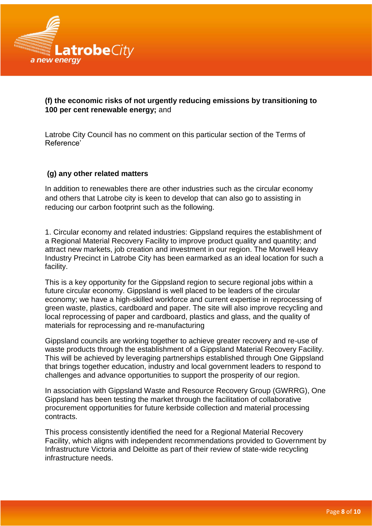

# **(f) the economic risks of not urgently reducing emissions by transitioning to 100 per cent renewable energy;** and

Latrobe City Council has no comment on this particular section of the Terms of Reference'

#### **(g) any other related matters**

In addition to renewables there are other industries such as the circular economy and others that Latrobe city is keen to develop that can also go to assisting in reducing our carbon footprint such as the following.

1. Circular economy and related industries: Gippsland requires the establishment of a Regional Material Recovery Facility to improve product quality and quantity; and attract new markets, job creation and investment in our region. The Morwell Heavy Industry Precinct in Latrobe City has been earmarked as an ideal location for such a facility.

This is a key opportunity for the Gippsland region to secure regional jobs within a future circular economy. Gippsland is well placed to be leaders of the circular economy; we have a high-skilled workforce and current expertise in reprocessing of green waste, plastics, cardboard and paper. The site will also improve recycling and local reprocessing of paper and cardboard, plastics and glass, and the quality of materials for reprocessing and re-manufacturing

Gippsland councils are working together to achieve greater recovery and re-use of waste products through the establishment of a Gippsland Material Recovery Facility. This will be achieved by leveraging partnerships established through One Gippsland that brings together education, industry and local government leaders to respond to challenges and advance opportunities to support the prosperity of our region.

In association with Gippsland Waste and Resource Recovery Group (GWRRG), One Gippsland has been testing the market through the facilitation of collaborative procurement opportunities for future kerbside collection and material processing contracts.

This process consistently identified the need for a Regional Material Recovery Facility, which aligns with independent recommendations provided to Government by Infrastructure Victoria and Deloitte as part of their review of state-wide recycling infrastructure needs.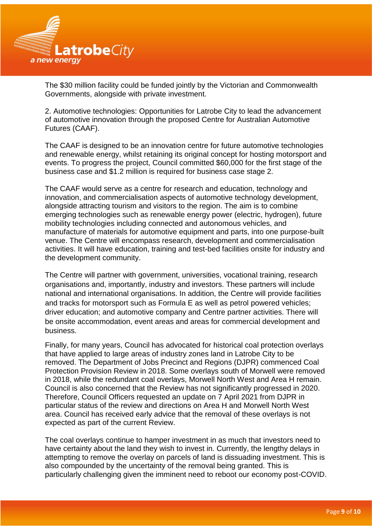

The \$30 million facility could be funded jointly by the Victorian and Commonwealth Governments, alongside with private investment.

2. Automotive technologies: Opportunities for Latrobe City to lead the advancement of automotive innovation through the proposed Centre for Australian Automotive Futures (CAAF).

The CAAF is designed to be an innovation centre for future automotive technologies and renewable energy, whilst retaining its original concept for hosting motorsport and events. To progress the project, Council committed \$60,000 for the first stage of the business case and \$1.2 million is required for business case stage 2.

The CAAF would serve as a centre for research and education, technology and innovation, and commercialisation aspects of automotive technology development, alongside attracting tourism and visitors to the region. The aim is to combine emerging technologies such as renewable energy power (electric, hydrogen), future mobility technologies including connected and autonomous vehicles, and manufacture of materials for automotive equipment and parts, into one purpose-built venue. The Centre will encompass research, development and commercialisation activities. It will have education, training and test-bed facilities onsite for industry and the development community.

The Centre will partner with government, universities, vocational training, research organisations and, importantly, industry and investors. These partners will include national and international organisations. In addition, the Centre will provide facilities and tracks for motorsport such as Formula E as well as petrol powered vehicles; driver education; and automotive company and Centre partner activities. There will be onsite accommodation, event areas and areas for commercial development and business.

Finally, for many years, Council has advocated for historical coal protection overlays that have applied to large areas of industry zones land in Latrobe City to be removed. The Department of Jobs Precinct and Regions (DJPR) commenced Coal Protection Provision Review in 2018. Some overlays south of Morwell were removed in 2018, while the redundant coal overlays, Morwell North West and Area H remain. Council is also concerned that the Review has not significantly progressed in 2020. Therefore, Council Officers requested an update on 7 April 2021 from DJPR in particular status of the review and directions on Area H and Morwell North West area. Council has received early advice that the removal of these overlays is not expected as part of the current Review.

The coal overlays continue to hamper investment in as much that investors need to have certainty about the land they wish to invest in. Currently, the lengthy delays in attempting to remove the overlay on parcels of land is dissuading investment. This is also compounded by the uncertainty of the removal being granted. This is particularly challenging given the imminent need to reboot our economy post-COVID.